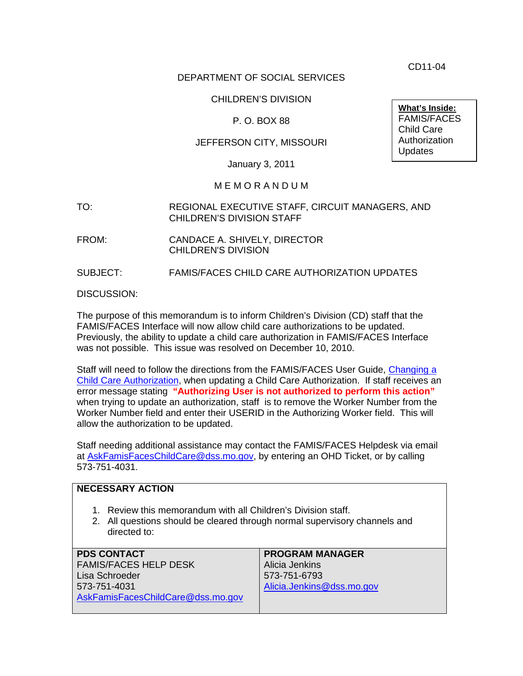CD11-04

# DEPARTMENT OF SOCIAL SERVICES

# CHILDREN'S DIVISION

# P. O. BOX 88

# JEFFERSON CITY, MISSOURI

January 3, 2011

#### M E M O R A N D U M

- TO: REGIONAL EXECUTIVE STAFF, CIRCUIT MANAGERS, AND CHILDREN'S DIVISION STAFF
- FROM: CANDACE A. SHIVELY, DIRECTOR CHILDREN'S DIVISION
- SUBJECT: FAMIS/FACES CHILD CARE AUTHORIZATION UPDATES

DISCUSSION:

The purpose of this memorandum is to inform Children's Division (CD) staff that the FAMIS/FACES Interface will now allow child care authorizations to be updated. Previously, the ability to update a child care authorization in FAMIS/FACES Interface was not possible. This issue was resolved on December 10, 2010.

Staff will need to follow the directions from the FAMIS/FACES User Guide, [Changing a](http://dssweb/cs/early_childhood/child_care_subsidy/cca-changing.pdf)  [Child Care Authorization,](http://dssweb/cs/early_childhood/child_care_subsidy/cca-changing.pdf) when updating a Child Care Authorization. If staff receives an error message stating **"Authorizing User is not authorized to perform this action"** when trying to update an authorization, staff is to remove the Worker Number from the Worker Number field and enter their USERID in the Authorizing Worker field. This will allow the authorization to be updated.

Staff needing additional assistance may contact the FAMIS/FACES Helpdesk via email at [AskFamisFacesChildCare@dss.mo.gov,](mailto:AskFamisFacesChildCare@dss.mo.gov) by entering an OHD Ticket, or by calling 573-751-4031.

| <b>NECESSARY ACTION</b>                                                                                                                                        |                           |
|----------------------------------------------------------------------------------------------------------------------------------------------------------------|---------------------------|
| Review this memorandum with all Children's Division staff.<br>1.<br>2. All questions should be cleared through normal supervisory channels and<br>directed to: |                           |
| <b>PDS CONTACT</b>                                                                                                                                             | <b>PROGRAM MANAGER</b>    |
| <b>FAMIS/FACES HELP DESK</b>                                                                                                                                   | Alicia Jenkins            |
| Lisa Schroeder                                                                                                                                                 | 573-751-6793              |
| 573-751-4031                                                                                                                                                   | Alicia.Jenkins@dss.mo.gov |
| AskFamisFacesChildCare@dss.mo.gov                                                                                                                              |                           |

**What's Inside:** FAMIS/FACES Child Care Authorization **Updates**